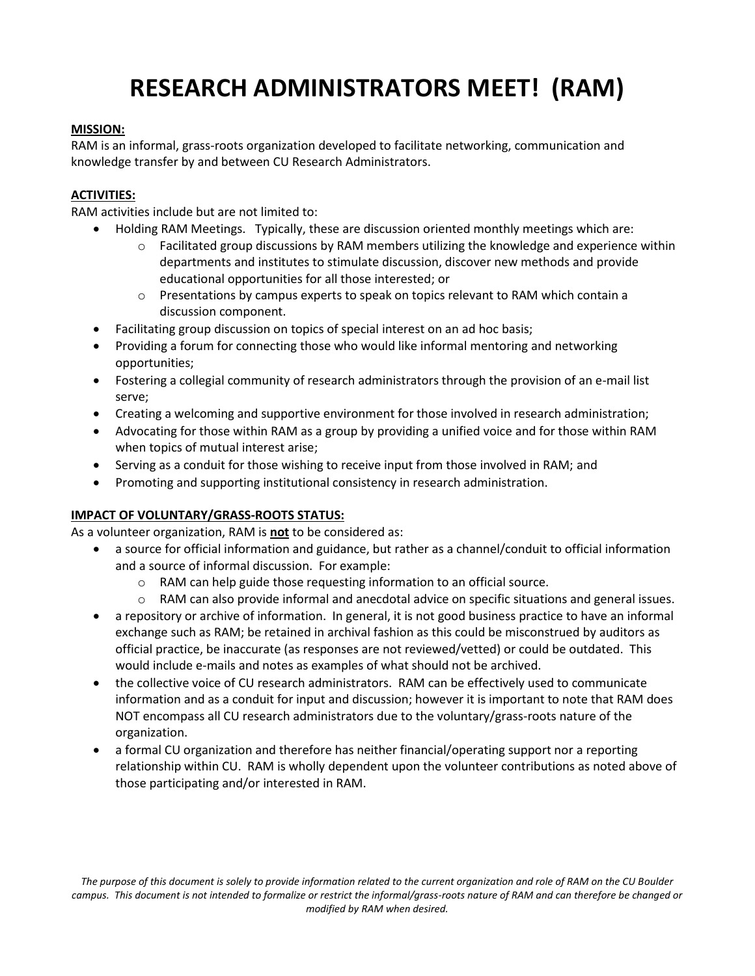# **RESEARCH ADMINISTRATORS MEET! (RAM)**

### **MISSION:**

RAM is an informal, grass-roots organization developed to facilitate networking, communication and knowledge transfer by and between CU Research Administrators.

## **ACTIVITIES:**

RAM activities include but are not limited to:

- Holding RAM Meetings. Typically, these are discussion oriented monthly meetings which are:
	- $\circ$  Facilitated group discussions by RAM members utilizing the knowledge and experience within departments and institutes to stimulate discussion, discover new methods and provide educational opportunities for all those interested; or
	- $\circ$  Presentations by campus experts to speak on topics relevant to RAM which contain a discussion component.
- Facilitating group discussion on topics of special interest on an ad hoc basis;
- Providing a forum for connecting those who would like informal mentoring and networking opportunities;
- Fostering a collegial community of research administrators through the provision of an e-mail list serve;
- Creating a welcoming and supportive environment for those involved in research administration;
- Advocating for those within RAM as a group by providing a unified voice and for those within RAM when topics of mutual interest arise;
- Serving as a conduit for those wishing to receive input from those involved in RAM; and
- Promoting and supporting institutional consistency in research administration.

## **IMPACT OF VOLUNTARY/GRASS-ROOTS STATUS:**

As a volunteer organization, RAM is **not** to be considered as:

- a source for official information and guidance, but rather as a channel/conduit to official information and a source of informal discussion. For example:
	- o RAM can help guide those requesting information to an official source.
	- $\circ$  RAM can also provide informal and anecdotal advice on specific situations and general issues.
- a repository or archive of information. In general, it is not good business practice to have an informal exchange such as RAM; be retained in archival fashion as this could be misconstrued by auditors as official practice, be inaccurate (as responses are not reviewed/vetted) or could be outdated. This would include e-mails and notes as examples of what should not be archived.
- the collective voice of CU research administrators. RAM can be effectively used to communicate information and as a conduit for input and discussion; however it is important to note that RAM does NOT encompass all CU research administrators due to the voluntary/grass-roots nature of the organization.
- a formal CU organization and therefore has neither financial/operating support nor a reporting relationship within CU. RAM is wholly dependent upon the volunteer contributions as noted above of those participating and/or interested in RAM.